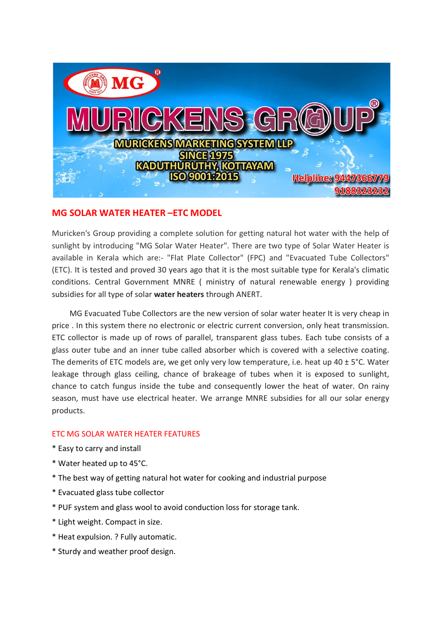

# MG SOLAR WATER HEATER –ETC MODEL

Muricken's Group providing a complete solution for getting natural hot water with the help of sunlight by introducing "MG Solar Water Heater". There are two type of Solar Water Heater is available in Kerala which are:- "Flat Plate Collector" (FPC) and "Evacuated Tube Collectors" (ETC). It is tested and proved 30 years ago that it is the most suitable type for Kerala's climatic conditions. Central Government MNRE ( ministry of natural renewable energy ) providing subsidies for all type of solar water heaters through ANERT.

 MG Evacuated Tube Collectors are the new version of solar water heater It is very cheap in price . In this system there no electronic or electric current conversion, only heat transmission. ETC collector is made up of rows of parallel, transparent glass tubes. Each tube consists of a glass outer tube and an inner tube called absorber which is covered with a selective coating. The demerits of ETC models are, we get only very low temperature, i.e. heat up 40  $\pm$  5°C. Water leakage through glass ceiling, chance of brakeage of tubes when it is exposed to sunlight, chance to catch fungus inside the tube and consequently lower the heat of water. On rainy season, must have use electrical heater. We arrange MNRE subsidies for all our solar energy products.

## ETC MG SOLAR WATER HEATER FEATURES

- \* Easy to carry and install
- \* Water heated up to 45°C.
- \* The best way of getting natural hot water for cooking and industrial purpose
- \* Evacuated glass tube collector
- \* PUF system and glass wool to avoid conduction loss for storage tank.
- \* Light weight. Compact in size.
- \* Heat expulsion. ? Fully automatic.
- \* Sturdy and weather proof design.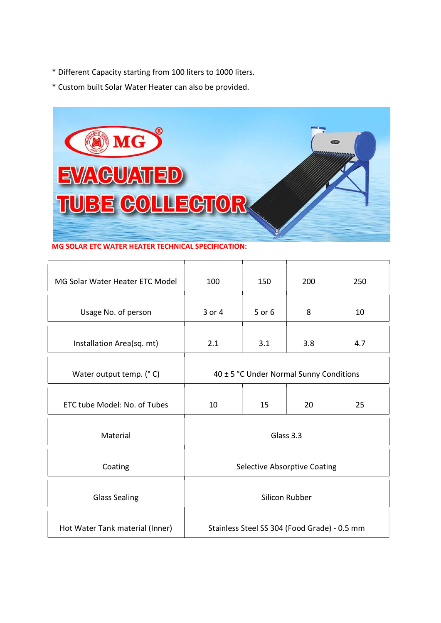- \* Different Capacity starting from 100 liters to 1000 liters.
- \* Custom built Solar Water Heater can also be provided.



MG SOLAR ETC WATER HEATER TECHNICAL SPECIFICATION:

| MG Solar Water Heater ETC Model | 100                                          | 150    | 200 | 250 |
|---------------------------------|----------------------------------------------|--------|-----|-----|
| Usage No. of person             | 3 or 4                                       | 5 or 6 | 8   | 10  |
| Installation Area(sq. mt)       | 2.1                                          | 3.1    | 3.8 | 4.7 |
| Water output temp. (°C)         | 40 ± 5 °C Under Normal Sunny Conditions      |        |     |     |
| ETC tube Model: No. of Tubes    | 10                                           | 15     | 20  | 25  |
| Material                        | Glass 3.3                                    |        |     |     |
| Coating                         | <b>Selective Absorptive Coating</b>          |        |     |     |
| <b>Glass Sealing</b>            | Silicon Rubber                               |        |     |     |
| Hot Water Tank material (Inner) | Stainless Steel SS 304 (Food Grade) - 0.5 mm |        |     |     |